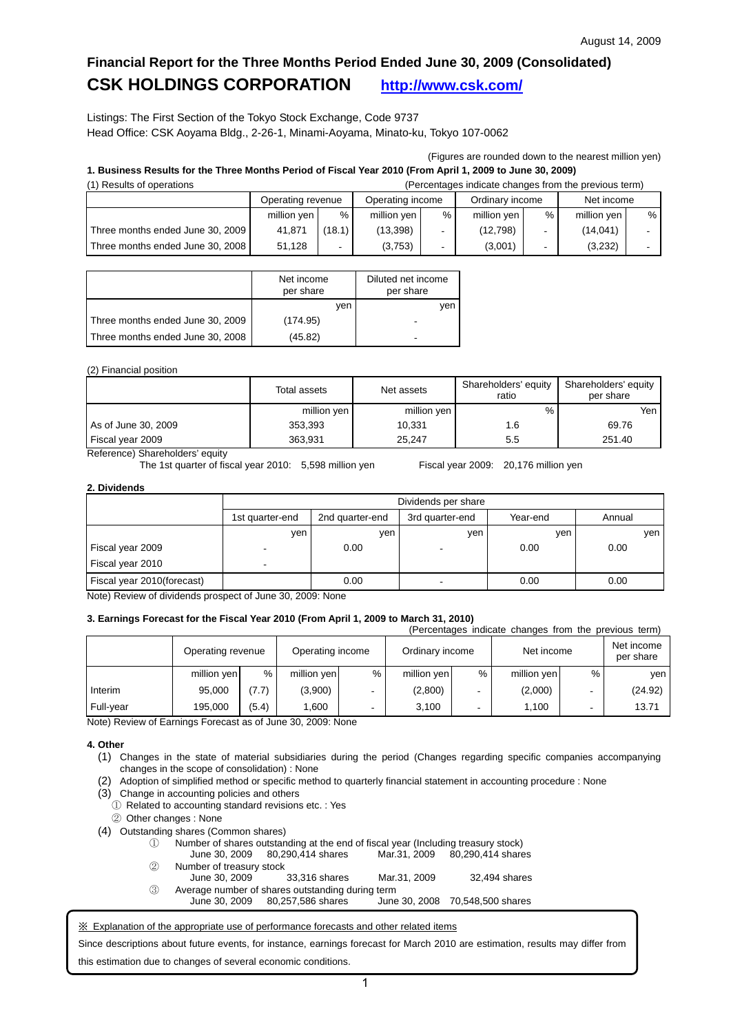# **Financial Report for the Three Months Period Ended June 30, 2009 (Consolidated) CSK HOLDINGS CORPORATION <http://www.csk.com/>**

Listings: The First Section of the Tokyo Stock Exchange, Code 9737 Head Office: CSK Aoyama Bldg., 2-26-1, Minami-Aoyama, Minato-ku, Tokyo 107-0062

(Figures are rounded down to the nearest million yen)

#### **1. Business Results for the Three Months Period of Fiscal Year 2010 (From April 1, 2009 to June 30, 2009)**  (1) Results of operations (Percentages indicate changes from the previous term)

| TI NESUIS UI UDETAIIUTS.<br><u>(Felderitages indicate changes from the previous term)</u> |                   |        |                  |                          |                 |   |             |   |
|-------------------------------------------------------------------------------------------|-------------------|--------|------------------|--------------------------|-----------------|---|-------------|---|
|                                                                                           | Operating revenue |        | Operating income |                          | Ordinary income |   | Net income  |   |
|                                                                                           | million yen       | %      | million ven      | $\%$                     | million ven     | % | million yen | % |
| Three months ended June 30, 2009                                                          | 41.871            | (18.1) | (13, 398)        | ۰                        | (12,798)        |   | (14, 041)   |   |
| Three months ended June 30, 2008                                                          | 51.128            |        | (3,753)          | $\overline{\phantom{0}}$ | (3,001)         |   | (3,232)     |   |

|                                  | Net income<br>per share | Diluted net income<br>per share |
|----------------------------------|-------------------------|---------------------------------|
|                                  | ven                     | ven                             |
| Three months ended June 30, 2009 | (174.95)                |                                 |
| Three months ended June 30, 2008 | (45.82)                 | $\overline{\phantom{a}}$        |

## (2) Financial position

|                     | Total assets | Net assets  | Shareholders' equity<br>ratio | Shareholders' equity<br>per share |  |
|---------------------|--------------|-------------|-------------------------------|-----------------------------------|--|
|                     | million yen  | million yen | $\%$                          | Yen                               |  |
| As of June 30, 2009 | 353,393      | 10.331      | 1.6                           | 69.76                             |  |
| Fiscal year 2009    | 363,931      | 25.247      | $5.5\,$                       | 251.40                            |  |

Reference) Shareholders' equity

The 1st quarter of fiscal year 2010: 5,598 million yen Fiscal year 2009: 20,176 million yen

#### **2. Dividends**

|                            |                 | Dividends per share                            |     |      |      |  |  |
|----------------------------|-----------------|------------------------------------------------|-----|------|------|--|--|
|                            | 1st quarter-end | Year-end<br>2nd quarter-end<br>3rd quarter-end |     |      |      |  |  |
|                            | ven             | yen                                            | ven | ven  | ven  |  |  |
| Fiscal year 2009           |                 | 0.00                                           |     | 0.00 | 0.00 |  |  |
| Fiscal year 2010           |                 |                                                |     |      |      |  |  |
| Fiscal year 2010(forecast) |                 | 0.00                                           |     | 0.00 | 0.00 |  |  |

Note) Review of dividends prospect of June 30, 2009: None

## **3. Earnings Forecast for the Fiscal Year 2010 (From April 1, 2009 to March 31, 2010)**

|           | (Percentages indicate changes from the previous term) |       |                  |   |                 |   |             |      |                         |
|-----------|-------------------------------------------------------|-------|------------------|---|-----------------|---|-------------|------|-------------------------|
|           | Operating revenue                                     |       | Operating income |   | Ordinary income |   | Net income  |      | Net income<br>per share |
|           | million yen                                           | %     | million yen      | % | million yen     | % | million yen | $\%$ | ven                     |
| Interim   | 95.000                                                | (7.7) | (3,900)          |   | (2,800)         |   | (2,000)     |      | (24.92)                 |
| Full-year | 195.000                                               | (5.4) | .600             |   | 3,100           |   | 1.100       |      | 13.71                   |

Note) Review of Earnings Forecast as of June 30, 2009: None

## **4. Other**

- (1) Changes in the state of material subsidiaries during the period (Changes regarding specific companies accompanying changes in the scope of consolidation) : None
- (2) Adoption of simplified method or specific method to quarterly financial statement in accounting procedure : None
- (3) Change in accounting policies and others
	- ① Related to accounting standard revisions etc. : Yes
	- ② Other changes : None
- (4) Outstanding shares (Common shares)
	- ① Number of shares outstanding at the end of fiscal year (Including treasury stock)
	- Mar.31, 2009 80, 290, 414 shares ② Number of treasury stock
	- June 30, 2009 33,316 shares Mar.31, 2009 32,494 shares ③ Average number of shares outstanding during term
		- June 30, 2009 80, 257, 586 shares

### ※ Explanation of the appropriate use of performance forecasts and other related items

Since descriptions about future events, for instance, earnings forecast for March 2010 are estimation, results may differ from this estimation due to changes of several economic conditions.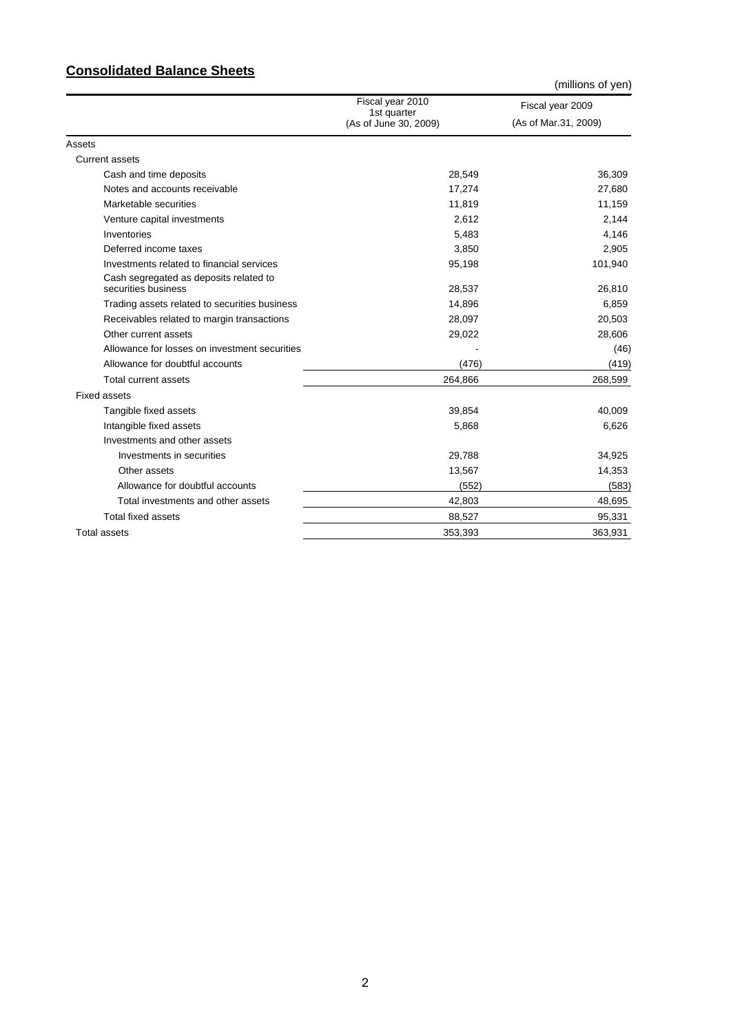## **Consolidated Balance Sheets**

|                                                               |                                                          | (millions of yen)                        |
|---------------------------------------------------------------|----------------------------------------------------------|------------------------------------------|
|                                                               | Fiscal year 2010<br>1st quarter<br>(As of June 30, 2009) | Fiscal year 2009<br>(As of Mar.31, 2009) |
| Assets                                                        |                                                          |                                          |
| <b>Current assets</b>                                         |                                                          |                                          |
| Cash and time deposits                                        | 28,549                                                   | 36,309                                   |
| Notes and accounts receivable                                 | 17,274                                                   | 27,680                                   |
| Marketable securities                                         | 11,819                                                   | 11,159                                   |
| Venture capital investments                                   | 2,612                                                    | 2,144                                    |
| Inventories                                                   | 5,483                                                    | 4,146                                    |
| Deferred income taxes                                         | 3,850                                                    | 2,905                                    |
| Investments related to financial services                     | 95,198                                                   | 101,940                                  |
| Cash segregated as deposits related to<br>securities business | 28,537                                                   | 26,810                                   |
| Trading assets related to securities business                 | 14,896                                                   | 6,859                                    |
| Receivables related to margin transactions                    | 28,097                                                   | 20,503                                   |
| Other current assets                                          | 29,022                                                   | 28,606                                   |
| Allowance for losses on investment securities                 |                                                          | (46)                                     |
| Allowance for doubtful accounts                               | (476)                                                    | (419)                                    |
| Total current assets                                          | 264,866                                                  | 268,599                                  |
| <b>Fixed assets</b>                                           |                                                          |                                          |
| Tangible fixed assets                                         | 39,854                                                   | 40,009                                   |
| Intangible fixed assets                                       | 5,868                                                    | 6,626                                    |
| Investments and other assets                                  |                                                          |                                          |
| Investments in securities                                     | 29,788                                                   | 34,925                                   |
| Other assets                                                  | 13,567                                                   | 14,353                                   |
| Allowance for doubtful accounts                               | (552)                                                    | (583)                                    |
| Total investments and other assets                            | 42,803                                                   | 48,695                                   |
| <b>Total fixed assets</b>                                     | 88,527                                                   | 95,331                                   |
| <b>Total assets</b>                                           | 353,393                                                  | 363,931                                  |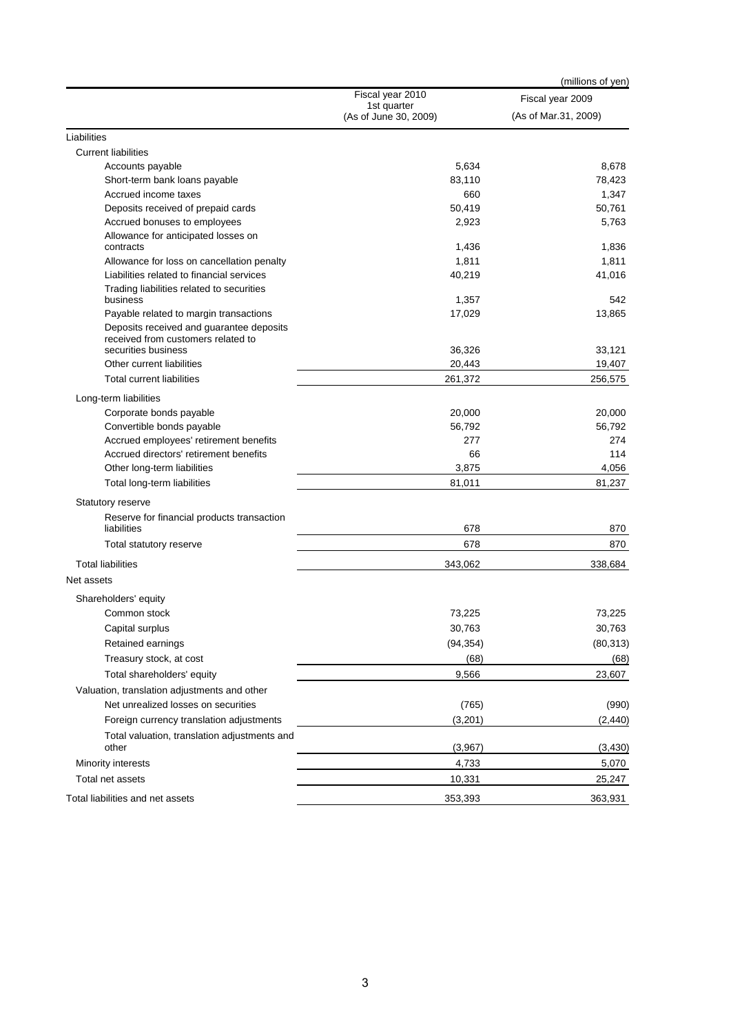|                                                                                    |                                      | (millions of yen)    |
|------------------------------------------------------------------------------------|--------------------------------------|----------------------|
|                                                                                    | Fiscal year 2010                     | Fiscal year 2009     |
|                                                                                    | 1st quarter<br>(As of June 30, 2009) | (As of Mar.31, 2009) |
| Liabilities                                                                        |                                      |                      |
| <b>Current liabilities</b>                                                         |                                      |                      |
| Accounts payable                                                                   | 5,634                                | 8,678                |
| Short-term bank loans payable                                                      | 83,110                               | 78,423               |
| Accrued income taxes                                                               | 660                                  | 1,347                |
| Deposits received of prepaid cards                                                 | 50,419                               | 50,761               |
| Accrued bonuses to employees                                                       | 2,923                                | 5,763                |
| Allowance for anticipated losses on                                                |                                      |                      |
| contracts                                                                          | 1,436                                | 1,836                |
| Allowance for loss on cancellation penalty                                         | 1,811                                | 1,811                |
| Liabilities related to financial services                                          | 40,219                               | 41,016               |
| Trading liabilities related to securities                                          |                                      |                      |
| business                                                                           | 1,357                                | 542                  |
| Payable related to margin transactions<br>Deposits received and guarantee deposits | 17,029                               | 13,865               |
| received from customers related to                                                 |                                      |                      |
| securities business<br>Other current liabilities                                   | 36,326                               | 33,121               |
|                                                                                    | 20,443                               | 19,407               |
| Total current liabilities                                                          | 261,372                              | 256,575              |
| Long-term liabilities                                                              |                                      |                      |
| Corporate bonds payable                                                            | 20,000                               | 20,000               |
| Convertible bonds payable                                                          | 56,792                               | 56,792               |
| Accrued employees' retirement benefits                                             | 277                                  | 274                  |
| Accrued directors' retirement benefits                                             | 66                                   | 114                  |
| Other long-term liabilities                                                        | 3,875                                | 4,056                |
| Total long-term liabilities                                                        | 81,011                               | 81,237               |
| Statutory reserve                                                                  |                                      |                      |
| Reserve for financial products transaction<br>liabilities                          | 678                                  | 870                  |
| Total statutory reserve                                                            | 678                                  | 870                  |
| <b>Total liabilities</b>                                                           | 343,062                              | 338,684              |
| Net assets                                                                         |                                      |                      |
|                                                                                    |                                      |                      |
| Shareholders' equity                                                               |                                      |                      |
| Common stock                                                                       | 73,225                               | 73,225               |
| Capital surplus                                                                    | 30,763                               | 30,763               |
| Retained earnings                                                                  | (94, 354)                            | (80, 313)            |
| Treasury stock, at cost                                                            | (68)                                 | (68)                 |
| Total shareholders' equity                                                         | 9,566                                | 23,607               |
| Valuation, translation adjustments and other                                       |                                      |                      |
| Net unrealized losses on securities                                                | (765)                                | (990)                |
| Foreign currency translation adjustments                                           | (3,201)                              | (2, 440)             |
| Total valuation, translation adjustments and                                       |                                      |                      |
| other                                                                              | (3,967)                              | (3, 430)             |
| Minority interests                                                                 | 4,733                                | 5,070                |
| Total net assets                                                                   | 10,331                               | 25,247               |
|                                                                                    |                                      |                      |
| Total liabilities and net assets                                                   | 353,393                              | 363,931              |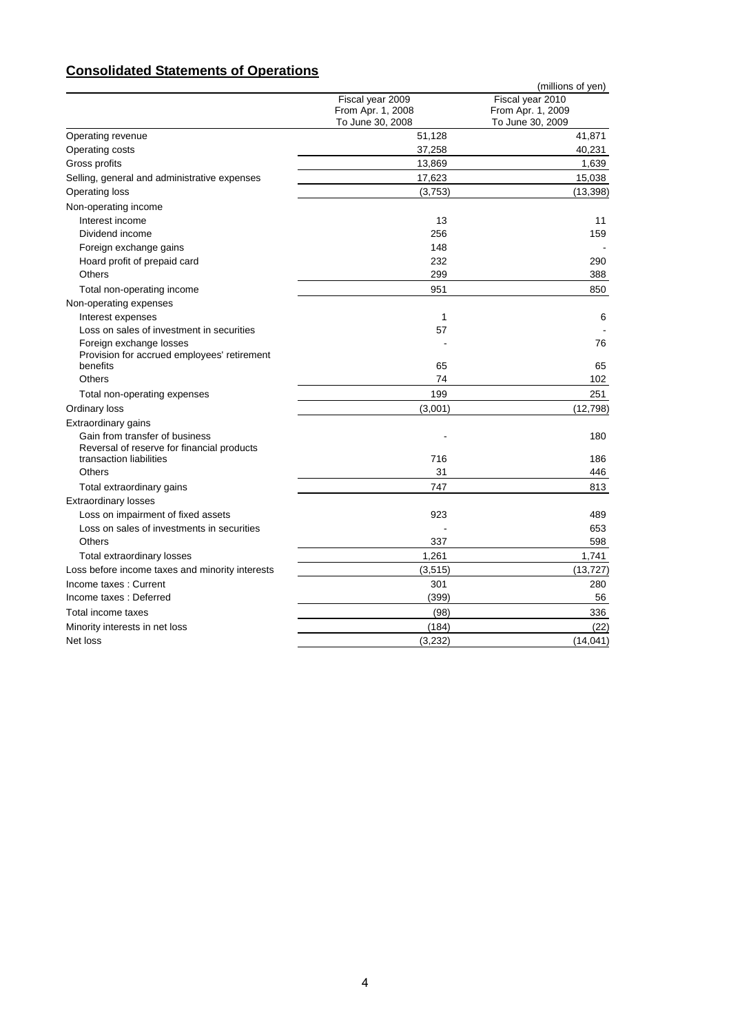# **Consolidated Statements of Operations**

|                                                                              |                                                           | (millions of yen)                                         |
|------------------------------------------------------------------------------|-----------------------------------------------------------|-----------------------------------------------------------|
|                                                                              | Fiscal year 2009<br>From Apr. 1, 2008<br>To June 30, 2008 | Fiscal year 2010<br>From Apr. 1, 2009<br>To June 30, 2009 |
| Operating revenue                                                            | 51,128                                                    | 41,871                                                    |
| Operating costs                                                              | 37,258                                                    | 40,231                                                    |
| Gross profits                                                                | 13,869                                                    | 1,639                                                     |
| Selling, general and administrative expenses                                 | 17,623                                                    | 15,038                                                    |
| <b>Operating loss</b>                                                        | (3,753)                                                   | (13, 398)                                                 |
| Non-operating income                                                         |                                                           |                                                           |
| Interest income                                                              | 13                                                        | 11                                                        |
| Dividend income                                                              | 256                                                       | 159                                                       |
| Foreign exchange gains                                                       | 148                                                       |                                                           |
| Hoard profit of prepaid card                                                 | 232                                                       | 290                                                       |
| <b>Others</b>                                                                | 299                                                       | 388                                                       |
| Total non-operating income                                                   | 951                                                       | 850                                                       |
| Non-operating expenses                                                       |                                                           |                                                           |
| Interest expenses                                                            | 1                                                         | 6                                                         |
| Loss on sales of investment in securities                                    | 57                                                        |                                                           |
| Foreign exchange losses<br>Provision for accrued employees' retirement       |                                                           | 76                                                        |
| benefits                                                                     | 65                                                        | 65                                                        |
| Others                                                                       | 74                                                        | 102                                                       |
| Total non-operating expenses                                                 | 199                                                       | 251                                                       |
| Ordinary loss                                                                | (3,001)                                                   | (12,798)                                                  |
| Extraordinary gains                                                          |                                                           |                                                           |
| Gain from transfer of business<br>Reversal of reserve for financial products |                                                           | 180                                                       |
| transaction liabilities                                                      | 716                                                       | 186                                                       |
| Others                                                                       | 31                                                        | 446                                                       |
| Total extraordinary gains                                                    | 747                                                       | 813                                                       |
| <b>Extraordinary losses</b>                                                  |                                                           |                                                           |
| Loss on impairment of fixed assets                                           | 923                                                       | 489                                                       |
| Loss on sales of investments in securities                                   |                                                           | 653                                                       |
| Others                                                                       | 337                                                       | 598                                                       |
| Total extraordinary losses                                                   | 1,261                                                     | 1,741                                                     |
| Loss before income taxes and minority interests                              | (3, 515)                                                  | (13, 727)                                                 |
| Income taxes: Current                                                        | 301                                                       | 280                                                       |
| Income taxes: Deferred                                                       | (399)                                                     | 56                                                        |
| Total income taxes                                                           | (98)                                                      | 336                                                       |
| Minority interests in net loss                                               | (184)                                                     | (22)                                                      |
| Net loss                                                                     | (3,232)                                                   | (14, 041)                                                 |
|                                                                              |                                                           |                                                           |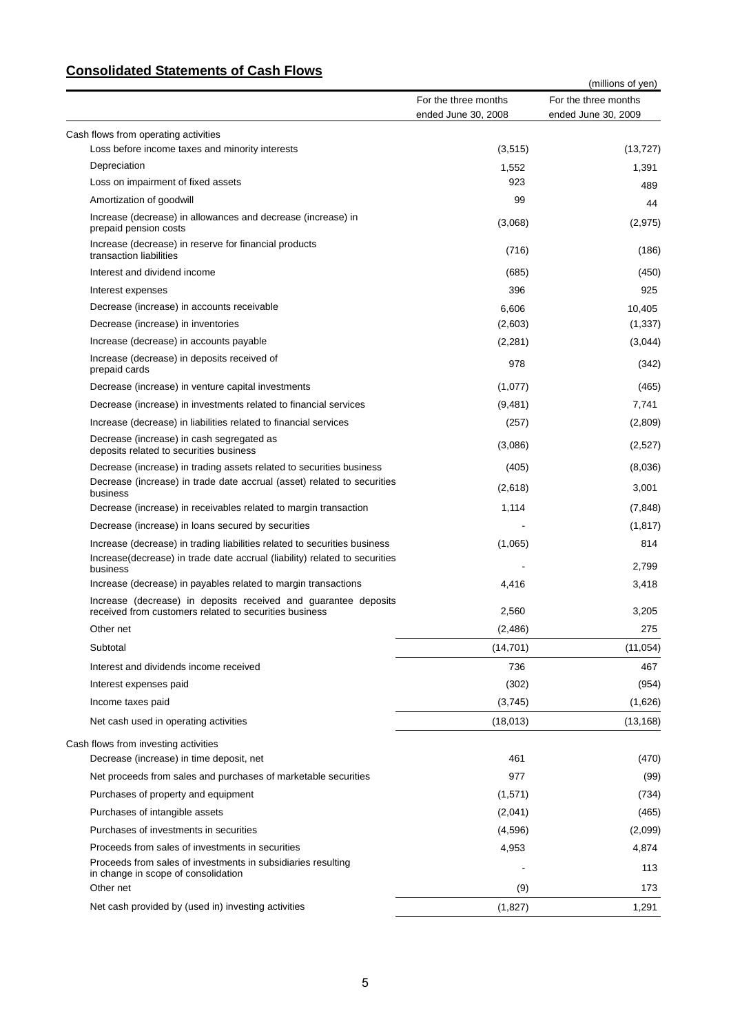# **Consolidated Statements of Cash Flows**

| באסו דופסים שנוסחוטות שהשפח של הא                                                                                         |                                             | (millions of yen)                           |
|---------------------------------------------------------------------------------------------------------------------------|---------------------------------------------|---------------------------------------------|
|                                                                                                                           | For the three months<br>ended June 30, 2008 | For the three months<br>ended June 30, 2009 |
| Cash flows from operating activities                                                                                      |                                             |                                             |
| Loss before income taxes and minority interests                                                                           | (3,515)                                     | (13, 727)                                   |
| Depreciation                                                                                                              | 1,552                                       | 1,391                                       |
| Loss on impairment of fixed assets                                                                                        | 923                                         | 489                                         |
| Amortization of goodwill                                                                                                  | 99                                          | 44                                          |
| Increase (decrease) in allowances and decrease (increase) in<br>prepaid pension costs                                     | (3,068)                                     | (2,975)                                     |
| Increase (decrease) in reserve for financial products<br>transaction liabilities                                          | (716)                                       | (186)                                       |
| Interest and dividend income                                                                                              | (685)                                       | (450)                                       |
| Interest expenses                                                                                                         | 396                                         | 925                                         |
| Decrease (increase) in accounts receivable                                                                                | 6,606                                       | 10,405                                      |
| Decrease (increase) in inventories                                                                                        | (2,603)                                     | (1, 337)                                    |
| Increase (decrease) in accounts payable                                                                                   | (2,281)                                     | (3,044)                                     |
| Increase (decrease) in deposits received of<br>prepaid cards                                                              | 978                                         | (342)                                       |
| Decrease (increase) in venture capital investments                                                                        | (1,077)                                     | (465)                                       |
| Decrease (increase) in investments related to financial services                                                          | (9,481)                                     | 7,741                                       |
| Increase (decrease) in liabilities related to financial services                                                          | (257)                                       | (2,809)                                     |
| Decrease (increase) in cash segregated as<br>deposits related to securities business                                      | (3,086)                                     | (2,527)                                     |
| Decrease (increase) in trading assets related to securities business                                                      | (405)                                       | (8,036)                                     |
| Decrease (increase) in trade date accrual (asset) related to securities<br>business                                       | (2,618)                                     | 3,001                                       |
| Decrease (increase) in receivables related to margin transaction                                                          | 1,114                                       | (7, 848)                                    |
| Decrease (increase) in loans secured by securities                                                                        |                                             | (1, 817)                                    |
| Increase (decrease) in trading liabilities related to securities business                                                 | (1,065)                                     | 814                                         |
| Increase (decrease) in trade date accrual (liability) related to securities<br>business                                   |                                             | 2,799                                       |
| Increase (decrease) in payables related to margin transactions                                                            | 4,416                                       | 3,418                                       |
| Increase (decrease) in deposits received and guarantee deposits<br>received from customers related to securities business | 2,560                                       | 3,205                                       |
| Other net                                                                                                                 | (2,486)                                     | 275                                         |
| Subtotal                                                                                                                  | (14, 701)                                   | (11, 054)                                   |
| Interest and dividends income received                                                                                    | 736                                         | 467                                         |
| Interest expenses paid                                                                                                    | (302)                                       | (954)                                       |
| Income taxes paid                                                                                                         | (3,745)                                     | (1,626)                                     |
| Net cash used in operating activities                                                                                     | (18,013)                                    | (13, 168)                                   |
| Cash flows from investing activities                                                                                      |                                             |                                             |
| Decrease (increase) in time deposit, net                                                                                  | 461                                         | (470)                                       |
| Net proceeds from sales and purchases of marketable securities                                                            | 977                                         | (99)                                        |
| Purchases of property and equipment                                                                                       | (1,571)                                     | (734)                                       |
| Purchases of intangible assets                                                                                            | (2,041)                                     | (465)                                       |
| Purchases of investments in securities                                                                                    | (4,596)                                     | (2,099)                                     |
| Proceeds from sales of investments in securities                                                                          | 4,953                                       | 4,874                                       |
| Proceeds from sales of investments in subsidiaries resulting<br>in change in scope of consolidation<br>Other net          |                                             | 113                                         |
|                                                                                                                           | (9)                                         | 173                                         |
| Net cash provided by (used in) investing activities                                                                       | (1,827)                                     | 1,291                                       |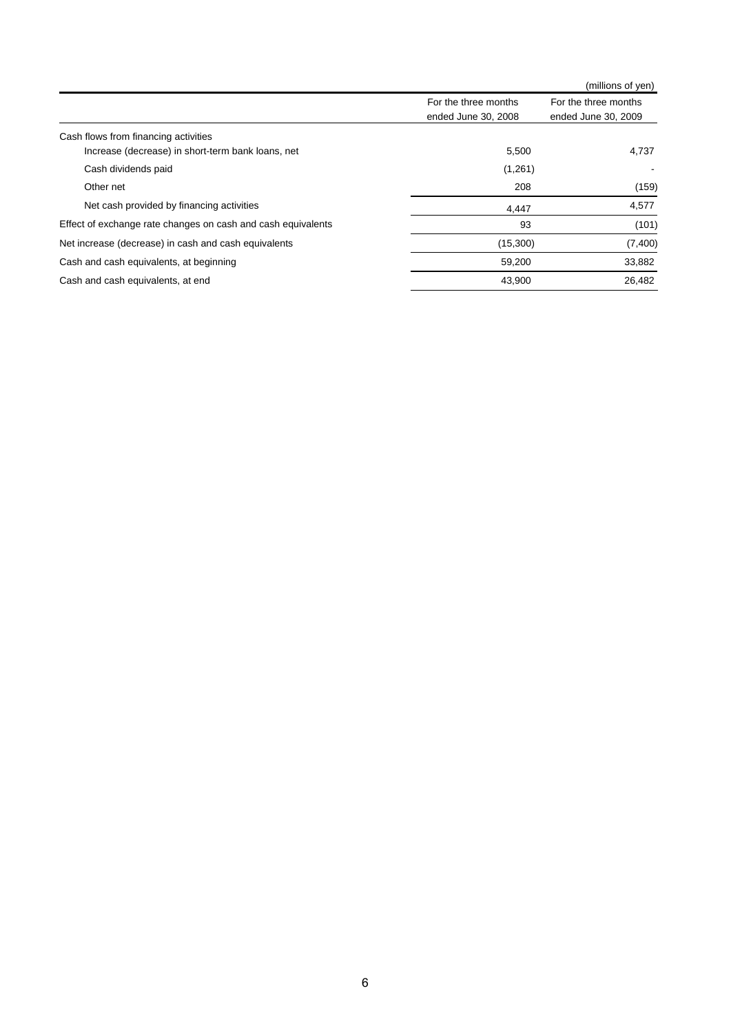|                                                              |                      | (millions of yen)    |
|--------------------------------------------------------------|----------------------|----------------------|
|                                                              | For the three months | For the three months |
|                                                              | ended June 30, 2008  | ended June 30, 2009  |
| Cash flows from financing activities                         |                      |                      |
| Increase (decrease) in short-term bank loans, net            | 5,500                | 4,737                |
| Cash dividends paid                                          | (1,261)              |                      |
| Other net                                                    | 208                  | (159)                |
| Net cash provided by financing activities                    | 4,447                | 4,577                |
| Effect of exchange rate changes on cash and cash equivalents | 93                   | (101)                |
| Net increase (decrease) in cash and cash equivalents         | (15, 300)            | (7,400)              |
| Cash and cash equivalents, at beginning                      | 59,200               | 33,882               |
| Cash and cash equivalents, at end                            | 43,900               | 26,482               |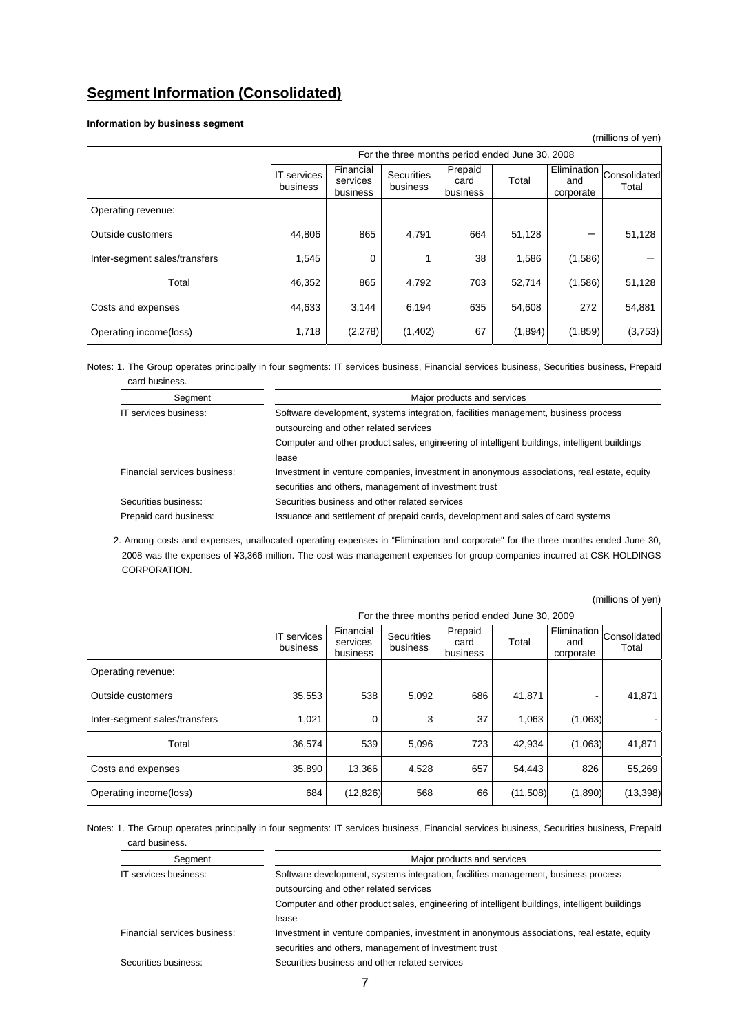# **Segment Information (Consolidated)**

## **Information by business segment**

|                               |                                |                                                 |                               |                             |         |                                 | (millions of yen)     |
|-------------------------------|--------------------------------|-------------------------------------------------|-------------------------------|-----------------------------|---------|---------------------------------|-----------------------|
|                               |                                | For the three months period ended June 30, 2008 |                               |                             |         |                                 |                       |
|                               | <b>IT</b> services<br>business | Financial<br>services<br>business               | <b>Securities</b><br>business | Prepaid<br>card<br>business | Total   | Elimination<br>and<br>corporate | Consolidated<br>Total |
| Operating revenue:            |                                |                                                 |                               |                             |         |                                 |                       |
| Outside customers             | 44,806                         | 865                                             | 4,791                         | 664                         | 51,128  |                                 | 51,128                |
| Inter-segment sales/transfers | 1,545                          | 0                                               |                               | 38                          | 1,586   | (1,586)                         |                       |
| Total                         | 46,352                         | 865                                             | 4,792                         | 703                         | 52,714  | (1,586)                         | 51,128                |
| Costs and expenses            | 44,633                         | 3,144                                           | 6,194                         | 635                         | 54,608  | 272                             | 54,881                |
| Operating income(loss)        | 1,718                          | (2, 278)                                        | (1,402)                       | 67                          | (1,894) | (1,859)                         | (3,753)               |

Notes: 1. The Group operates principally in four segments: IT services business, Financial services business, Securities business, Prepaid card business.  $\mathbb{R}^2$ 

| Segment                      | Major products and services                                                                   |
|------------------------------|-----------------------------------------------------------------------------------------------|
| IT services business:        | Software development, systems integration, facilities management, business process            |
|                              | outsourcing and other related services                                                        |
|                              | Computer and other product sales, engineering of intelligent buildings, intelligent buildings |
|                              | lease                                                                                         |
| Financial services business: | Investment in venture companies, investment in anonymous associations, real estate, equity    |
|                              | securities and others, management of investment trust                                         |
| Securities business:         | Securities business and other related services                                                |
| Prepaid card business:       | Issuance and settlement of prepaid cards, development and sales of card systems               |

2. Among costs and expenses, unallocated operating expenses in "Elimination and corporate" for the three months ended June 30, 2008 was the expenses of ¥3,366 million. The cost was management expenses for group companies incurred at CSK HOLDINGS CORPORATION.

|                               |                                                 |                                   |                               |                             |          |                  | (millions of yen)                 |
|-------------------------------|-------------------------------------------------|-----------------------------------|-------------------------------|-----------------------------|----------|------------------|-----------------------------------|
|                               | For the three months period ended June 30, 2009 |                                   |                               |                             |          |                  |                                   |
|                               | <b>IT</b> services<br>business                  | Financial<br>services<br>business | <b>Securities</b><br>business | Prepaid<br>card<br>business | Total    | and<br>corporate | Elimination Consolidated<br>Total |
| Operating revenue:            |                                                 |                                   |                               |                             |          |                  |                                   |
| Outside customers             | 35,553                                          | 538                               | 5,092                         | 686                         | 41,871   |                  | 41,871                            |
| Inter-segment sales/transfers | 1,021                                           | 0                                 | 3                             | 37                          | 1,063    | (1,063)          |                                   |
| Total                         | 36,574                                          | 539                               | 5,096                         | 723                         | 42,934   | (1,063)          | 41,871                            |
| Costs and expenses            | 35,890                                          | 13,366                            | 4,528                         | 657                         | 54,443   | 826              | 55,269                            |
| Operating income(loss)        | 684                                             | (12, 826)                         | 568                           | 66                          | (11,508) | (1,890)          | (13, 398)                         |

Notes: 1. The Group operates principally in four segments: IT services business, Financial services business, Securities business, Prepaid card business.

| <u>oura paomooo.</u>         |                                                                                                                                                     |  |  |  |  |
|------------------------------|-----------------------------------------------------------------------------------------------------------------------------------------------------|--|--|--|--|
| Segment                      | Major products and services                                                                                                                         |  |  |  |  |
| IT services business:        | Software development, systems integration, facilities management, business process<br>outsourcing and other related services                        |  |  |  |  |
|                              | Computer and other product sales, engineering of intelligent buildings, intelligent buildings<br>lease                                              |  |  |  |  |
| Financial services business: | Investment in venture companies, investment in anonymous associations, real estate, equity<br>securities and others, management of investment trust |  |  |  |  |
| Securities business:         | Securities business and other related services                                                                                                      |  |  |  |  |